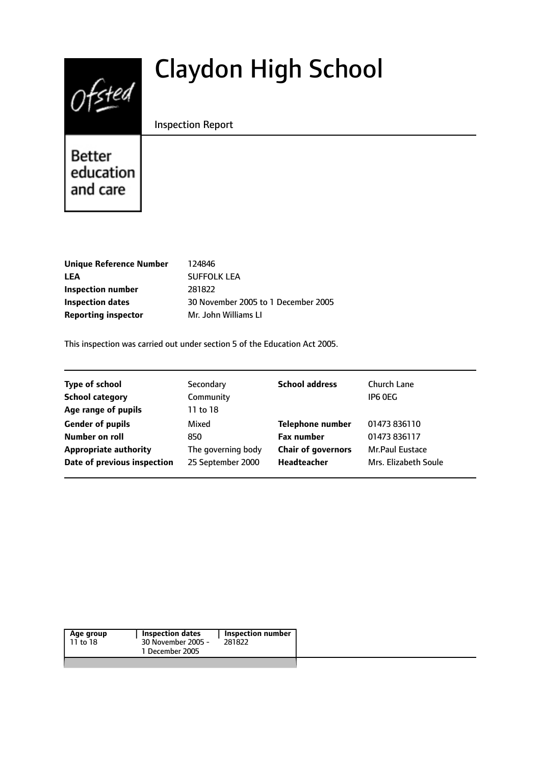# Claydon High School

Inspection Report

Better education and care

 $0$ fsted

| <b>Unique Reference Number</b> | 124846                              |
|--------------------------------|-------------------------------------|
| LEA                            | <b>SUFFOLK LEA</b>                  |
| Inspection number              | 281822                              |
| <b>Inspection dates</b>        | 30 November 2005 to 1 December 2005 |
| <b>Reporting inspector</b>     | Mr. John Williams LI                |

This inspection was carried out under section 5 of the Education Act 2005.

| <b>Type of school</b>        | Secondary          | <b>School address</b>     | Church Lane            |
|------------------------------|--------------------|---------------------------|------------------------|
| <b>School category</b>       | Community          |                           | IP6 OEG                |
| Age range of pupils          | 11 to 18           |                           |                        |
| <b>Gender of pupils</b>      | Mixed              | <b>Telephone number</b>   | 01473 836110           |
| <b>Number on roll</b>        | 850                | <b>Fax number</b>         | 01473 836117           |
| <b>Appropriate authority</b> | The governing body | <b>Chair of governors</b> | <b>Mr.Paul Eustace</b> |
| Date of previous inspection  | 25 September 2000  | Headteacher               | Mrs. Elizabeth Soule   |

| Age group | Inspection dates   | Inspection number |  |
|-----------|--------------------|-------------------|--|
| 11 to 18  | 30 November 2005 - | 281822            |  |
|           | 1 December 2005    |                   |  |
|           |                    |                   |  |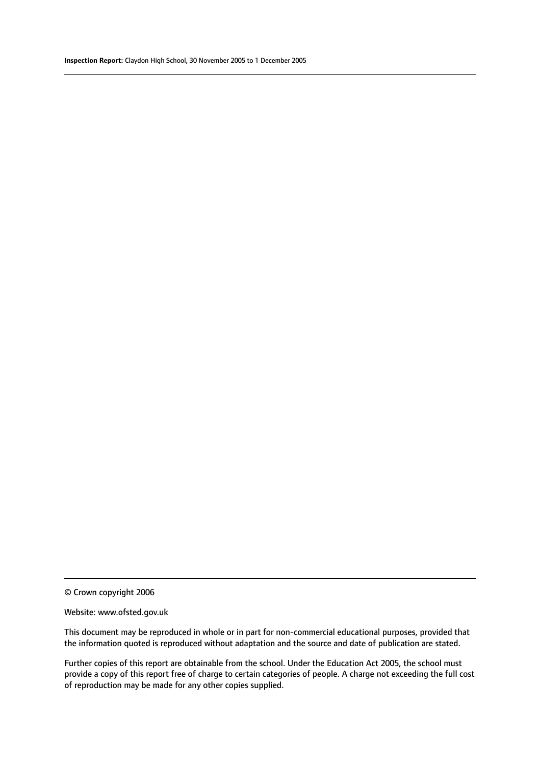© Crown copyright 2006

#### Website: www.ofsted.gov.uk

This document may be reproduced in whole or in part for non-commercial educational purposes, provided that the information quoted is reproduced without adaptation and the source and date of publication are stated.

Further copies of this report are obtainable from the school. Under the Education Act 2005, the school must provide a copy of this report free of charge to certain categories of people. A charge not exceeding the full cost of reproduction may be made for any other copies supplied.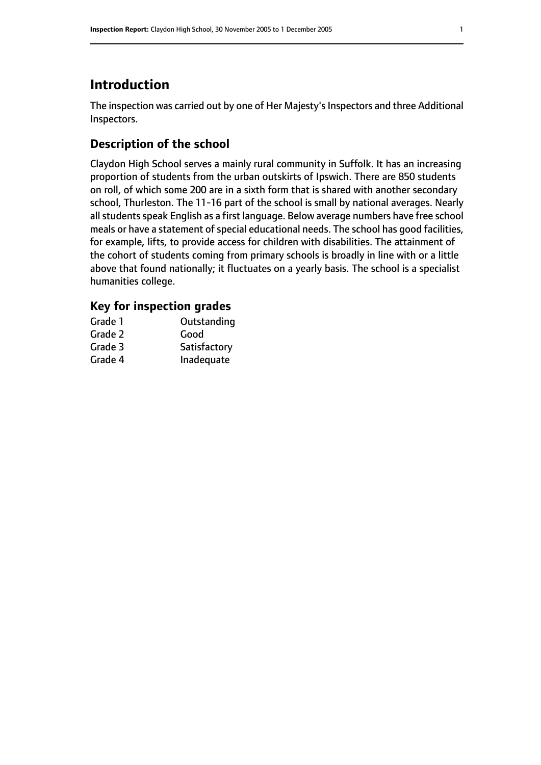## **Introduction**

The inspection was carried out by one of Her Majesty's Inspectors and three Additional Inspectors.

### **Description of the school**

Claydon High School serves a mainly rural community in Suffolk. It has an increasing proportion of students from the urban outskirts of Ipswich. There are 850 students on roll, of which some 200 are in a sixth form that is shared with another secondary school, Thurleston. The 11-16 part of the school is small by national averages. Nearly all students speak English as a first language. Below average numbers have free school meals or have a statement of special educational needs. The school has good facilities, for example, lifts, to provide access for children with disabilities. The attainment of the cohort of students coming from primary schools is broadly in line with or a little above that found nationally; it fluctuates on a yearly basis. The school is a specialist humanities college.

#### **Key for inspection grades**

| Outstanding  |
|--------------|
| Good         |
| Satisfactory |
| Inadequate   |
|              |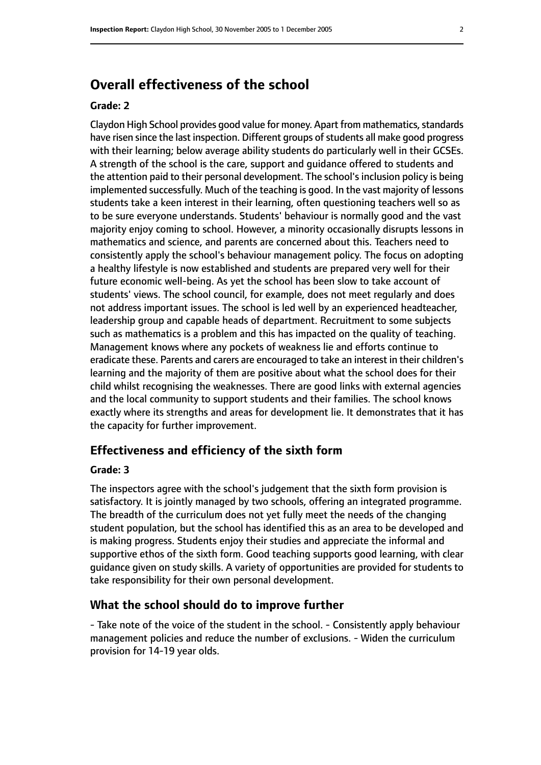## **Overall effectiveness of the school**

#### **Grade: 2**

Claydon High School provides good value for money. Apart from mathematics, standards have risen since the last inspection. Different groups of students all make good progress with their learning; below average ability students do particularly well in their GCSEs. A strength of the school is the care, support and guidance offered to students and the attention paid to their personal development. The school's inclusion policy is being implemented successfully. Much of the teaching is good. In the vast majority of lessons students take a keen interest in their learning, often questioning teachers well so as to be sure everyone understands. Students' behaviour is normally good and the vast majority enjoy coming to school. However, a minority occasionally disrupts lessons in mathematics and science, and parents are concerned about this. Teachers need to consistently apply the school's behaviour management policy. The focus on adopting a healthy lifestyle is now established and students are prepared very well for their future economic well-being. As yet the school has been slow to take account of students' views. The school council, for example, does not meet regularly and does not address important issues. The school is led well by an experienced headteacher, leadership group and capable heads of department. Recruitment to some subjects such as mathematics is a problem and this has impacted on the quality of teaching. Management knows where any pockets of weakness lie and efforts continue to eradicate these. Parents and carers are encouraged to take an interest in their children's learning and the majority of them are positive about what the school does for their child whilst recognising the weaknesses. There are good links with external agencies and the local community to support students and their families. The school knows exactly where its strengths and areas for development lie. It demonstrates that it has the capacity for further improvement.

#### **Effectiveness and efficiency of the sixth form**

#### **Grade: 3**

The inspectors agree with the school's judgement that the sixth form provision is satisfactory. It is jointly managed by two schools, offering an integrated programme. The breadth of the curriculum does not yet fully meet the needs of the changing student population, but the school has identified this as an area to be developed and is making progress. Students enjoy their studies and appreciate the informal and supportive ethos of the sixth form. Good teaching supports good learning, with clear guidance given on study skills. A variety of opportunities are provided for students to take responsibility for their own personal development.

#### **What the school should do to improve further**

- Take note of the voice of the student in the school. - Consistently apply behaviour management policies and reduce the number of exclusions. - Widen the curriculum provision for 14-19 year olds.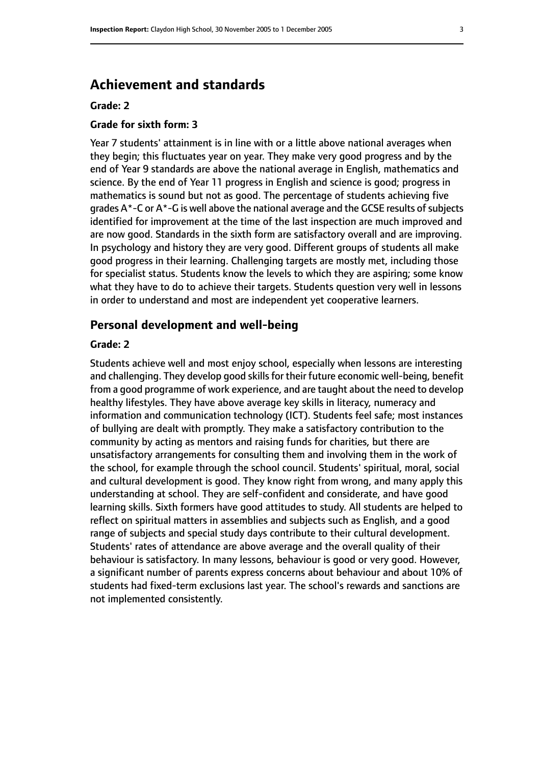## **Achievement and standards**

#### **Grade: 2**

#### **Grade for sixth form: 3**

Year 7 students' attainment is in line with or a little above national averages when they begin; this fluctuates year on year. They make very good progress and by the end of Year 9 standards are above the national average in English, mathematics and science. By the end of Year 11 progress in English and science is good; progress in mathematics is sound but not as good. The percentage of students achieving five grades  $A^*$ -C or  $A^*$ -G is well above the national average and the GCSE results of subjects identified for improvement at the time of the last inspection are much improved and are now good. Standards in the sixth form are satisfactory overall and are improving. In psychology and history they are very good. Different groups of students all make good progress in their learning. Challenging targets are mostly met, including those for specialist status. Students know the levels to which they are aspiring; some know what they have to do to achieve their targets. Students question very well in lessons in order to understand and most are independent yet cooperative learners.

#### **Personal development and well-being**

#### **Grade: 2**

Students achieve well and most enjoy school, especially when lessons are interesting and challenging. They develop good skills for their future economic well-being, benefit from a good programme of work experience, and are taught about the need to develop healthy lifestyles. They have above average key skills in literacy, numeracy and information and communication technology (ICT). Students feel safe; most instances of bullying are dealt with promptly. They make a satisfactory contribution to the community by acting as mentors and raising funds for charities, but there are unsatisfactory arrangements for consulting them and involving them in the work of the school, for example through the school council. Students' spiritual, moral, social and cultural development is good. They know right from wrong, and many apply this understanding at school. They are self-confident and considerate, and have good learning skills. Sixth formers have good attitudes to study. All students are helped to reflect on spiritual matters in assemblies and subjects such as English, and a good range of subjects and special study days contribute to their cultural development. Students' rates of attendance are above average and the overall quality of their behaviour is satisfactory. In many lessons, behaviour is good or very good. However, a significant number of parents express concerns about behaviour and about 10% of students had fixed-term exclusions last year. The school's rewards and sanctions are not implemented consistently.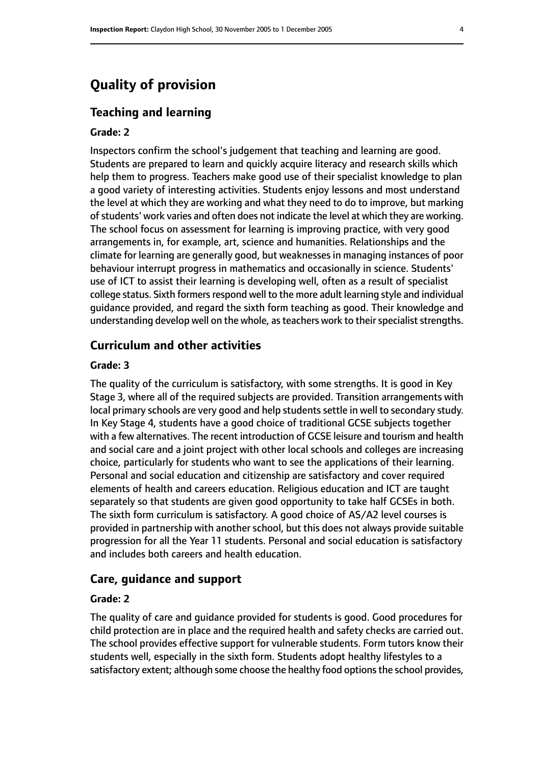## **Quality of provision**

#### **Teaching and learning**

#### **Grade: 2**

Inspectors confirm the school's judgement that teaching and learning are good. Students are prepared to learn and quickly acquire literacy and research skills which help them to progress. Teachers make good use of their specialist knowledge to plan a good variety of interesting activities. Students enjoy lessons and most understand the level at which they are working and what they need to do to improve, but marking of students' work varies and often does not indicate the level at which they are working. The school focus on assessment for learning is improving practice, with very good arrangements in, for example, art, science and humanities. Relationships and the climate for learning are generally good, but weaknesses in managing instances of poor behaviour interrupt progress in mathematics and occasionally in science. Students' use of ICT to assist their learning is developing well, often as a result of specialist college status. Sixth formers respond well to the more adult learning style and individual guidance provided, and regard the sixth form teaching as good. Their knowledge and understanding develop well on the whole, as teachers work to their specialist strengths.

#### **Curriculum and other activities**

#### **Grade: 3**

The quality of the curriculum is satisfactory, with some strengths. It is good in Key Stage 3, where all of the required subjects are provided. Transition arrangements with local primary schools are very good and help students settle in well to secondary study. In Key Stage 4, students have a good choice of traditional GCSE subjects together with a few alternatives. The recent introduction of GCSE leisure and tourism and health and social care and a joint project with other local schools and colleges are increasing choice, particularly for students who want to see the applications of their learning. Personal and social education and citizenship are satisfactory and cover required elements of health and careers education. Religious education and ICT are taught separately so that students are given good opportunity to take half GCSEs in both. The sixth form curriculum is satisfactory. A good choice of AS/A2 level courses is provided in partnership with another school, but this does not always provide suitable progression for all the Year 11 students. Personal and social education is satisfactory and includes both careers and health education.

#### **Care, guidance and support**

#### **Grade: 2**

The quality of care and guidance provided for students is good. Good procedures for child protection are in place and the required health and safety checks are carried out. The school provides effective support for vulnerable students. Form tutors know their students well, especially in the sixth form. Students adopt healthy lifestyles to a satisfactory extent; although some choose the healthy food options the school provides,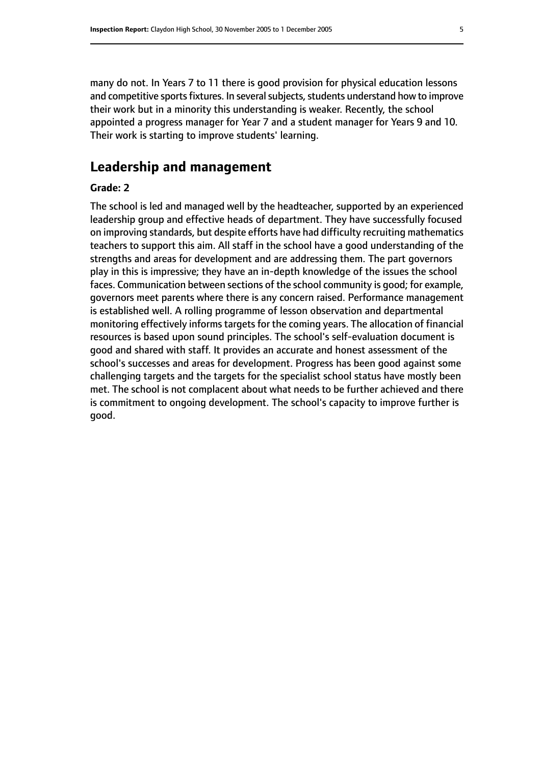many do not. In Years 7 to 11 there is good provision for physical education lessons and competitive sports fixtures. In several subjects, students understand how to improve their work but in a minority this understanding is weaker. Recently, the school appointed a progress manager for Year 7 and a student manager for Years 9 and 10. Their work is starting to improve students' learning.

## **Leadership and management**

#### **Grade: 2**

The school is led and managed well by the headteacher, supported by an experienced leadership group and effective heads of department. They have successfully focused on improving standards, but despite efforts have had difficulty recruiting mathematics teachers to support this aim. All staff in the school have a good understanding of the strengths and areas for development and are addressing them. The part governors play in this is impressive; they have an in-depth knowledge of the issues the school faces. Communication between sections of the school community is good; for example, governors meet parents where there is any concern raised. Performance management is established well. A rolling programme of lesson observation and departmental monitoring effectively informs targets for the coming years. The allocation of financial resources is based upon sound principles. The school's self-evaluation document is good and shared with staff. It provides an accurate and honest assessment of the school's successes and areas for development. Progress has been good against some challenging targets and the targets for the specialist school status have mostly been met. The school is not complacent about what needs to be further achieved and there is commitment to ongoing development. The school's capacity to improve further is good.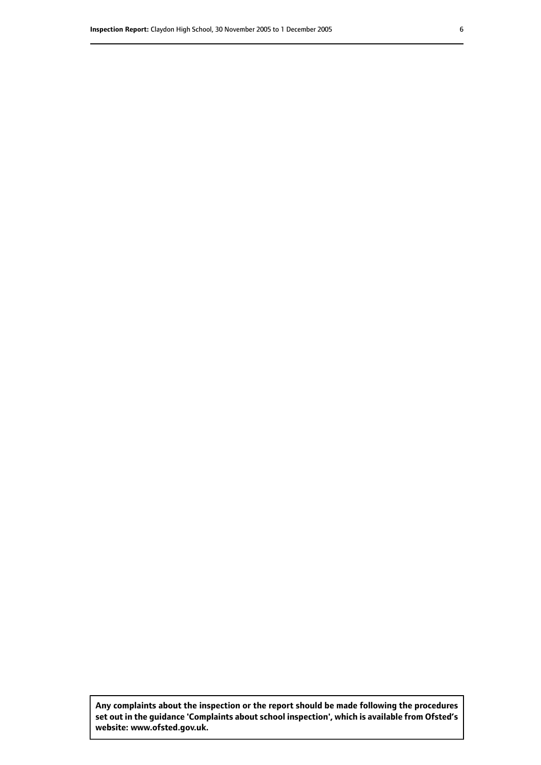**Any complaints about the inspection or the report should be made following the procedures set out inthe guidance 'Complaints about school inspection', whichis available from Ofsted's website: www.ofsted.gov.uk.**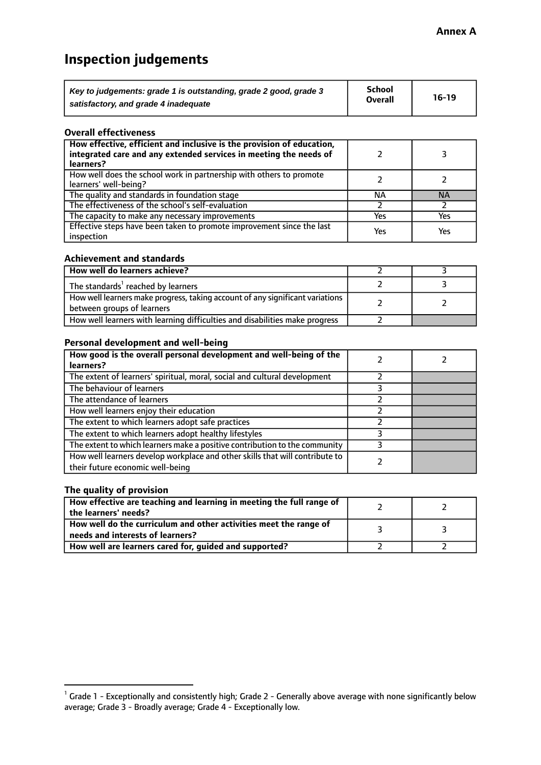## **Inspection judgements**

| Key to judgements: grade 1 is outstanding, grade 2 good, grade 3 | <b>School</b>  | $16-19$ |
|------------------------------------------------------------------|----------------|---------|
| satisfactory, and grade 4 inadequate                             | <b>Overall</b> |         |

#### **Overall effectiveness**

| How effective, efficient and inclusive is the provision of education,<br>integrated care and any extended services in meeting the needs of<br>learners? |     |           |
|---------------------------------------------------------------------------------------------------------------------------------------------------------|-----|-----------|
| How well does the school work in partnership with others to promote<br>learners' well-being?                                                            |     |           |
| The quality and standards in foundation stage                                                                                                           | ΝA  | <b>NA</b> |
| The effectiveness of the school's self-evaluation                                                                                                       |     |           |
| The capacity to make any necessary improvements                                                                                                         | Yes | Yes       |
| Effective steps have been taken to promote improvement since the last<br>inspection                                                                     | Yes | Yes       |

#### **Achievement and standards**

| How well do learners achieve?                                                                                 |  |
|---------------------------------------------------------------------------------------------------------------|--|
| The standards <sup>1</sup> reached by learners                                                                |  |
| How well learners make progress, taking account of any significant variations  <br>between groups of learners |  |
| How well learners with learning difficulties and disabilities make progress                                   |  |

#### **Personal development and well-being**

| How good is the overall personal development and well-being of the<br>learners?                                  |  |
|------------------------------------------------------------------------------------------------------------------|--|
| The extent of learners' spiritual, moral, social and cultural development                                        |  |
| The behaviour of learners                                                                                        |  |
| The attendance of learners                                                                                       |  |
| How well learners enjoy their education                                                                          |  |
| The extent to which learners adopt safe practices                                                                |  |
| The extent to which learners adopt healthy lifestyles                                                            |  |
| The extent to which learners make a positive contribution to the community                                       |  |
| How well learners develop workplace and other skills that will contribute to<br>their future economic well-being |  |

#### **The quality of provision**

| How effective are teaching and learning in meeting the full range of<br>the learners' needs?          |  |
|-------------------------------------------------------------------------------------------------------|--|
| How well do the curriculum and other activities meet the range of<br>needs and interests of learners? |  |
| How well are learners cared for, guided and supported?                                                |  |

 $^1$  Grade 1 - Exceptionally and consistently high; Grade 2 - Generally above average with none significantly below average; Grade 3 - Broadly average; Grade 4 - Exceptionally low.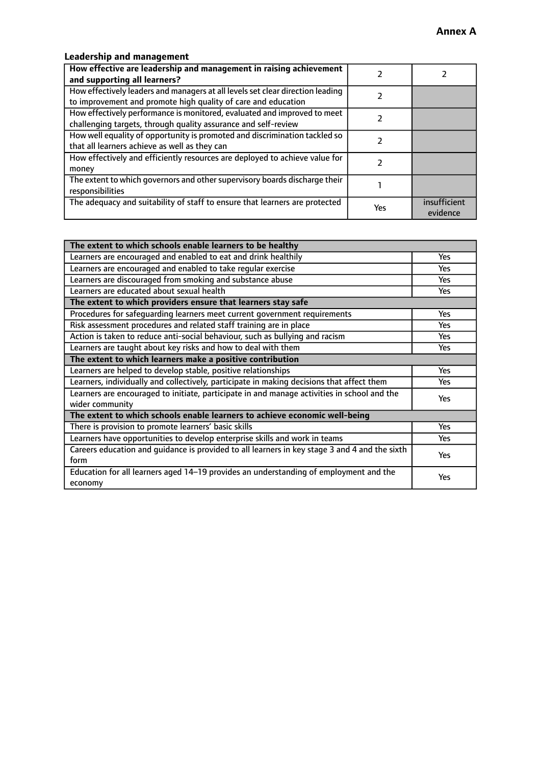## **Leadership and management**

| How effective are leadership and management in raising achievement<br>and supporting all learners?                                              |     |                          |
|-------------------------------------------------------------------------------------------------------------------------------------------------|-----|--------------------------|
| How effectively leaders and managers at all levels set clear direction leading<br>to improvement and promote high quality of care and education |     |                          |
| How effectively performance is monitored, evaluated and improved to meet<br>challenging targets, through quality assurance and self-review      |     |                          |
| How well equality of opportunity is promoted and discrimination tackled so<br>that all learners achieve as well as they can                     |     |                          |
| How effectively and efficiently resources are deployed to achieve value for<br>money                                                            |     |                          |
| The extent to which governors and other supervisory boards discharge their<br>responsibilities                                                  |     |                          |
| The adequacy and suitability of staff to ensure that learners are protected                                                                     | Yes | insufficient<br>evidence |

| The extent to which schools enable learners to be healthy                                     |            |
|-----------------------------------------------------------------------------------------------|------------|
| Learners are encouraged and enabled to eat and drink healthily                                | Yes        |
| Learners are encouraged and enabled to take regular exercise                                  | Yes        |
| Learners are discouraged from smoking and substance abuse                                     | <b>Yes</b> |
| Learners are educated about sexual health                                                     | Yes        |
| The extent to which providers ensure that learners stay safe                                  |            |
| Procedures for safequarding learners meet current government requirements                     | Yes        |
| Risk assessment procedures and related staff training are in place                            | Yes        |
| Action is taken to reduce anti-social behaviour, such as bullying and racism                  | <b>Yes</b> |
| Learners are taught about key risks and how to deal with them                                 |            |
| The extent to which learners make a positive contribution                                     |            |
| Learners are helped to develop stable, positive relationships                                 | Yes        |
| Learners, individually and collectively, participate in making decisions that affect them     | Yes        |
| Learners are encouraged to initiate, participate in and manage activities in school and the   | <b>Yes</b> |
| wider community                                                                               |            |
| The extent to which schools enable learners to achieve economic well-being                    |            |
| There is provision to promote learners' basic skills                                          | <b>Yes</b> |
| Learners have opportunities to develop enterprise skills and work in teams                    | <b>Yes</b> |
| Careers education and guidance is provided to all learners in key stage 3 and 4 and the sixth | Yes        |
| form                                                                                          |            |
| Education for all learners aged 14-19 provides an understanding of employment and the         | Yes        |
| economy                                                                                       |            |